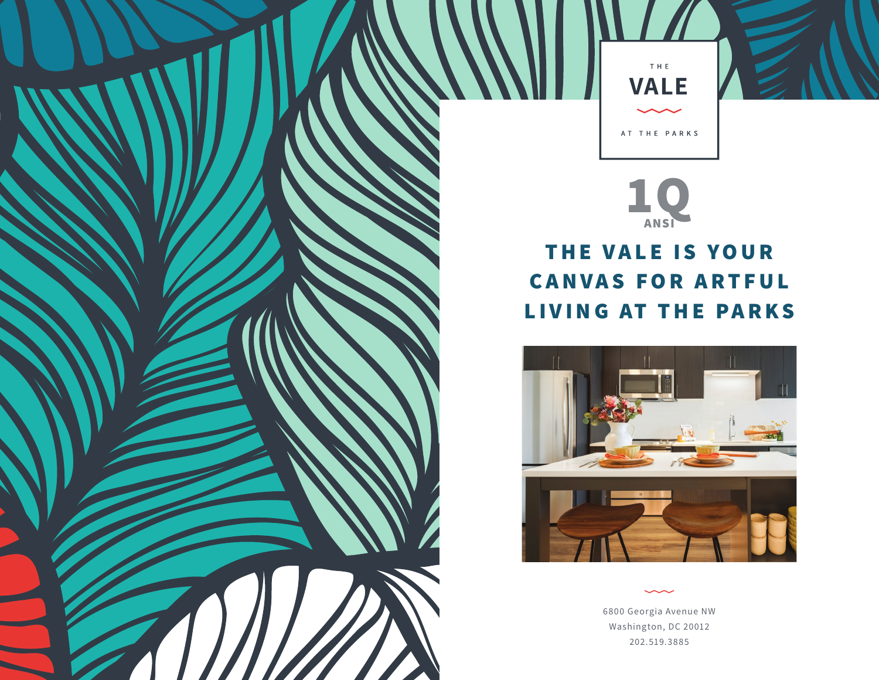



## **THE VALE IS YOUR CANVAS FOR ARTFUL LIVING AT THE PARKS**



6800 Georgia Avenue NW Washington, DC 20012 202.519.3885